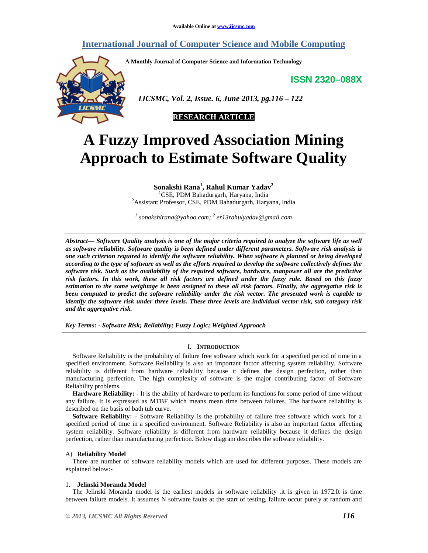# **International Journal of Computer Science and Mobile Computing**

**A Monthly Journal of Computer Science and Information Technology** 

**ISSN 2320–088X**



 *IJCSMC, Vol. 2, Issue. 6, June 2013, pg.116 – 122* 



# **A Fuzzy Improved Association Mining Approach to Estimate Software Quality**

**Sonakshi Rana<sup>1</sup> , Rahul Kumar Yadav<sup>2</sup>**

<sup>1</sup>CSE, PDM Bahadurgarh, Haryana, India <sup>2</sup>Assistant Professor, CSE, PDM Bahadurgarh, Haryana, India

*1 sonakshirana@yahoo.com; <sup>2</sup> er13rahulyadav@gmail.com*

*Abstract— Software Quality analysis is one of the major criteria required to analyze the software life as well as software reliability. Software quality is been defined under different parameters. Software risk analysis is one such criterion required to identify the software reliability. When software is planned or being developed according to the type of software as well as the efforts required to develop the software collectively defines the software risk. Such as the availability of the required software, hardware, manpower all are the predictive risk factors. In this work, these all risk factors are defined under the fuzzy rule. Based on this fuzzy estimation to the some weightage is been assigned to these all risk factors. Finally, the aggregative risk is been computed to predict the software reliability under the risk vector. The presented work is capable to identify the software risk under three levels. These three levels are individual vector risk, sub category risk and the aggregative risk.* 

*Key Terms: - Software Risk; Reliability; Fuzzy Logic; Weighted Approach* 

# I. **INTRODUCTION**

Software Reliability is the probability of failure free software which work for a specified period of time in a specified environment. Software Reliability is also an important factor affecting system reliability. Software reliability is different from hardware reliability because it defines the design perfection, rather than manufacturing perfection. The high complexity of software is the major contributing factor of Software Reliability problems.

**Hardware Reliability: -** It is the ability of hardware to perform its functions for some period of time without any failure. It is expressed as MTBF which means mean time between failures. The hardware reliability is described on the basis of bath tub curve.

**Software Reliability: -** Software Reliability is the probability of failure free software which work for a specified period of time in a specified environment. Software Reliability is also an important factor affecting system reliability. Software reliability is different from hardware reliability because it defines the design perfection, rather than manufacturing perfection. Below diagram describes the software reliability.

# A) **Reliability Model**

There are number of software reliability models which are used for different purposes. These models are explained below:-

# 1. **Jelinski Moranda Model**

The Jelinski Moranda model is the earliest models in software reliability .it is given in 1972.It is time between failure models. It assumes N software faults at the start of testing, failure occur purely at random and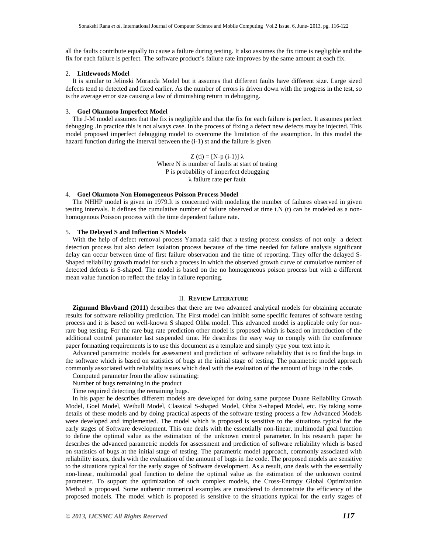all the faults contribute equally to cause a failure during testing. It also assumes the fix time is negligible and the fix for each failure is perfect. The software product's failure rate improves by the same amount at each fix.

# 2. **Littlewoods Model**

It is similar to Jelinski Moranda Model but it assumes that different faults have different size. Large sized defects tend to detected and fixed earlier. As the number of errors is driven down with the progress in the test, so is the average error size causing a law of diminishing return in debugging.

# 3. **Goel Okumoto Imperfect Model**

The J-M model assumes that the fix is negligible and that the fix for each failure is perfect. It assumes perfect debugging .In practice this is not always case. In the process of fixing a defect new defects may be injected. This model proposed imperfect debugging model to overcome the limitation of the assumption. In this model the hazard function during the interval between the (i-1) st and the failure is given

> $Z (ti) = [N-p (i-1)] \lambda$ Where N is number of faults at start of testing P is probability of imperfect debugging λ failure rate per fault

#### 4. **Goel Okumoto Non Homogeneous Poisson Process Model**

The NHHP model is given in 1979.It is concerned with modeling the number of failures observed in given testing intervals. It defines the cumulative number of failure observed at time t.N (t) can be modeled as a nonhomogenous Poisson process with the time dependent failure rate.

# 5. **The Delayed S and Inflection S Models**

With the help of defect removal process Yamada said that a testing process consists of not only a defect detection process but also defect isolation process because of the time needed for failure analysis significant delay can occur between time of first failure observation and the time of reporting. They offer the delayed S-Shaped reliability growth model for such a process in which the observed growth curve of cumulative number of detected defects is S-shaped. The model is based on the no homogeneous poison process but with a different mean value function to reflect the delay in failure reporting.

# II. **REVIEW LITERATURE**

**Zigmund Bluvband (2011)** describes that there are two advanced analytical models for obtaining accurate results for software reliability prediction. The First model can inhibit some specific features of software testing process and it is based on well-known S shaped Ohba model. This advanced model is applicable only for nonrare bug testing. For the rare bug rate prediction other model is proposed which is based on introduction of the additional control parameter last suspended time. He describes the easy way to comply with the conference paper formatting requirements is to use this document as a template and simply type your text into it.

Advanced parametric models for assessment and prediction of software reliability that is to find the bugs in the software which is based on statistics of bugs at the initial stage of testing. The parametric model approach commonly associated with reliability issues which deal with the evaluation of the amount of bugs in the code.

- Computed parameter from the allow estimating:
- Number of bugs remaining in the product
- Time required detecting the remaining bugs.

In his paper he describes different models are developed for doing same purpose Duane Reliability Growth Model, Goel Model, Weibull Model, Classical S-shaped Model, Ohba S-shaped Model, etc. By taking some details of these models and by doing practical aspects of the software testing process a few Advanced Models were developed and implemented. The model which is proposed is sensitive to the situations typical for the early stages of Software development. This one deals with the essentially non-linear, multimodal goal function to define the optimal value as the estimation of the unknown control parameter. In his research paper he describes the advanced parametric models for assessment and prediction of software reliability which is based on statistics of bugs at the initial stage of testing. The parametric model approach, commonly associated with reliability issues, deals with the evaluation of the amount of bugs in the code. The proposed models are sensitive to the situations typical for the early stages of Software development. As a result, one deals with the essentially non-linear, multimodal goal function to define the optimal value as the estimation of the unknown control parameter. To support the optimization of such complex models, the Cross-Entropy Global Optimization Method is proposed. Some authentic numerical examples are considered to demonstrate the efficiency of the proposed models. The model which is proposed is sensitive to the situations typical for the early stages of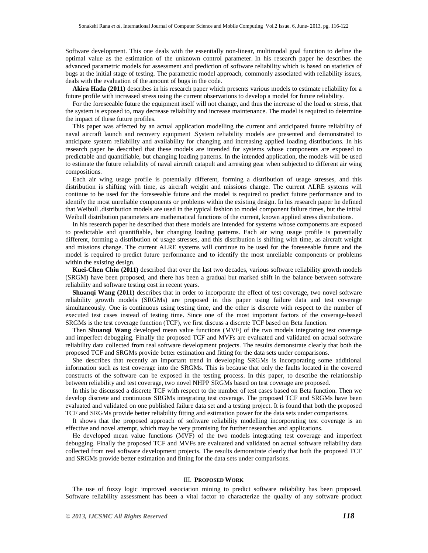Software development. This one deals with the essentially non-linear, multimodal goal function to define the optimal value as the estimation of the unknown control parameter. In his research paper he describes the advanced parametric models for assessment and prediction of software reliability which is based on statistics of bugs at the initial stage of testing. The parametric model approach, commonly associated with reliability issues, deals with the evaluation of the amount of bugs in the code.

**Akira Hada (2011)** describes in his research paper which presents various models to estimate reliability for a future profile with increased stress using the current observations to develop a model for future reliability.

For the foreseeable future the equipment itself will not change, and thus the increase of the load or stress, that the system is exposed to, may decrease reliability and increase maintenance. The model is required to determine the impact of these future profiles.

This paper was affected by an actual application modelling the current and anticipated future reliability of naval aircraft launch and recovery equipment .System reliability models are presented and demonstrated to anticipate system reliability and availability for changing and increasing applied loading distributions. In his research paper he described that these models are intended for systems whose components are exposed to predictable and quantifiable, but changing loading patterns. In the intended application, the models will be used to estimate the future reliability of naval aircraft catapult and arresting gear when subjected to different air wing compositions.

Each air wing usage profile is potentially different, forming a distribution of usage stresses, and this distribution is shifting with time, as aircraft weight and missions change. The current ALRE systems will continue to be used for the foreseeable future and the model is required to predict future performance and to identify the most unreliable components or problems within the existing design. In his research paper he defined that Weibull .distribution models are used in the typical fashion to model component failure times, but the initial Weibull distribution parameters are mathematical functions of the current, known applied stress distributions.

In his research paper he described that these models are intended for systems whose components are exposed to predictable and quantifiable, but changing loading patterns. Each air wing usage profile is potentially different, forming a distribution of usage stresses, and this distribution is shifting with time, as aircraft weight and missions change. The current ALRE systems will continue to be used for the foreseeable future and the model is required to predict future performance and to identify the most unreliable components or problems within the existing design.

**Kuei-Chen Chiu (2011)** described that over the last two decades, various software reliability growth models (SRGM) have been proposed, and there has been a gradual but marked shift in the balance between software reliability and software testing cost in recent years.

**Shuanqi Wang (2011)** describes that in order to incorporate the effect of test coverage, two novel software reliability growth models (SRGMs) are proposed in this paper using failure data and test coverage simultaneously. One is continuous using testing time, and the other is discrete with respect to the number of executed test cases instead of testing time. Since one of the most important factors of the coverage-based SRGMs is the test coverage function (TCF), we first discuss a discrete TCF based on Beta function.

Then **Shuanqi Wang** developed mean value functions (MVF) of the two models integrating test coverage and imperfect debugging. Finally the proposed TCF and MVFs are evaluated and validated on actual software reliability data collected from real software development projects. The results demonstrate clearly that both the proposed TCF and SRGMs provide better estimation and fitting for the data sets under comparisons.

She describes that recently an important trend in developing SRGMs is incorporating some additional information such as test coverage into the SRGMs. This is because that only the faults located in the covered constructs of the software can be exposed in the testing process. In this paper, to describe the relationship between reliability and test coverage, two novel NHPP SRGMs based on test coverage are proposed.

In this he discussed a discrete TCF with respect to the number of test cases based on Beta function. Then we develop discrete and continuous SRGMs integrating test coverage. The proposed TCF and SRGMs have been evaluated and validated on one published failure data set and a testing project. It is found that both the proposed TCF and SRGMs provide better reliability fitting and estimation power for the data sets under comparisons.

It shows that the proposed approach of software reliability modelling incorporating test coverage is an effective and novel attempt, which may be very promising for further researches and applications.

He developed mean value functions (MVF) of the two models integrating test coverage and imperfect debugging. Finally the proposed TCF and MVFs are evaluated and validated on actual software reliability data collected from real software development projects. The results demonstrate clearly that both the proposed TCF and SRGMs provide better estimation and fitting for the data sets under comparisons.

# III. **PROPOSED WORK**

The use of fuzzy logic improved association mining to predict software reliability has been proposed. Software reliability assessment has been a vital factor to characterize the quality of any software product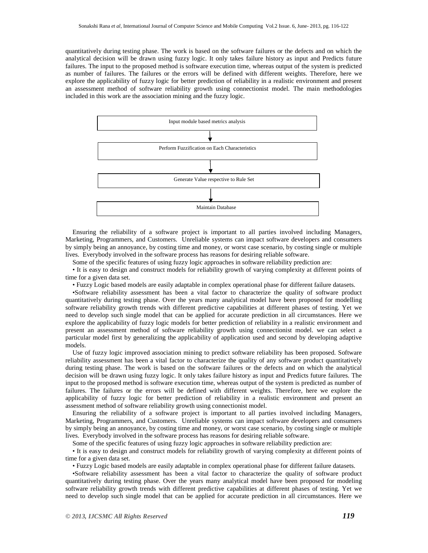quantitatively during testing phase. The work is based on the software failures or the defects and on which the analytical decision will be drawn using fuzzy logic. It only takes failure history as input and Predicts future failures. The input to the proposed method is software execution time, whereas output of the system is predicted as number of failures. The failures or the errors will be defined with different weights. Therefore, here we explore the applicability of fuzzy logic for better prediction of reliability in a realistic environment and present an assessment method of software reliability growth using connectionist model. The main methodologies included in this work are the association mining and the fuzzy logic.



Ensuring the reliability of a software project is important to all parties involved including Managers, Marketing, Programmers, and Customers. Unreliable systems can impact software developers and consumers by simply being an annoyance, by costing time and money, or worst case scenario, by costing single or multiple lives. Everybody involved in the software process has reasons for desiring reliable software.

Some of the specific features of using fuzzy logic approaches in software reliability prediction are:

• It is easy to design and construct models for reliability growth of varying complexity at different points of time for a given data set.

• Fuzzy Logic based models are easily adaptable in complex operational phase for different failure datasets.

•Software reliability assessment has been a vital factor to characterize the quality of software product quantitatively during testing phase. Over the years many analytical model have been proposed for modelling software reliability growth trends with different predictive capabilities at different phases of testing. Yet we need to develop such single model that can be applied for accurate prediction in all circumstances. Here we explore the applicability of fuzzy logic models for better prediction of reliability in a realistic environment and present an assessment method of software reliability growth using connectionist model. we can select a particular model first by generalizing the applicability of application used and second by developing adaptive models.

Use of fuzzy logic improved association mining to predict software reliability has been proposed. Software reliability assessment has been a vital factor to characterize the quality of any software product quantitatively during testing phase. The work is based on the software failures or the defects and on which the analytical decision will be drawn using fuzzy logic. It only takes failure history as input and Predicts future failures. The input to the proposed method is software execution time, whereas output of the system is predicted as number of failures. The failures or the errors will be defined with different weights. Therefore, here we explore the applicability of fuzzy logic for better prediction of reliability in a realistic environment and present an assessment method of software reliability growth using connectionist model.

Ensuring the reliability of a software project is important to all parties involved including Managers, Marketing, Programmers, and Customers. Unreliable systems can impact software developers and consumers by simply being an annoyance, by costing time and money, or worst case scenario, by costing single or multiple lives. Everybody involved in the software process has reasons for desiring reliable software.

Some of the specific features of using fuzzy logic approaches in software reliability prediction are:

• It is easy to design and construct models for reliability growth of varying complexity at different points of time for a given data set.

• Fuzzy Logic based models are easily adaptable in complex operational phase for different failure datasets.

•Software reliability assessment has been a vital factor to characterize the quality of software product quantitatively during testing phase. Over the years many analytical model have been proposed for modeling software reliability growth trends with different predictive capabilities at different phases of testing. Yet we need to develop such single model that can be applied for accurate prediction in all circumstances. Here we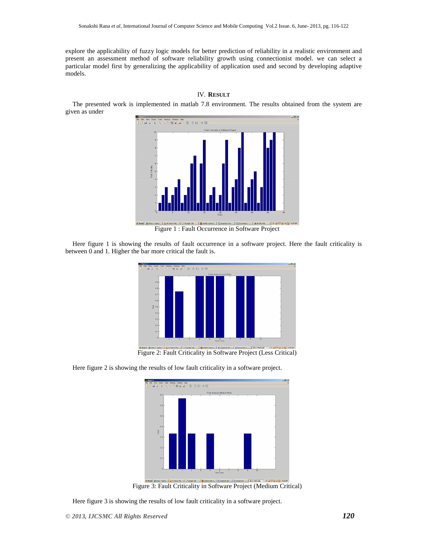explore the applicability of fuzzy logic models for better prediction of reliability in a realistic environment and present an assessment method of software reliability growth using connectionist model. we can select a particular model first by generalizing the applicability of application used and second by developing adaptive models.



The presented work is implemented in matlab 7.8 environment. The results obtained from the system are given as under



Here figure 1 is showing the results of fault occurrence in a software project. Here the fault criticality is between 0 and 1. Higher the bar more critical the fault is.



Figure 2: Fault Criticality in Software Project (Less Critical)

Here figure 2 is showing the results of low fault criticality in a software project.



Figure 3: Fault Criticality in Software Project (Medium Critical)

Here figure 3 is showing the results of low fault criticality in a software project.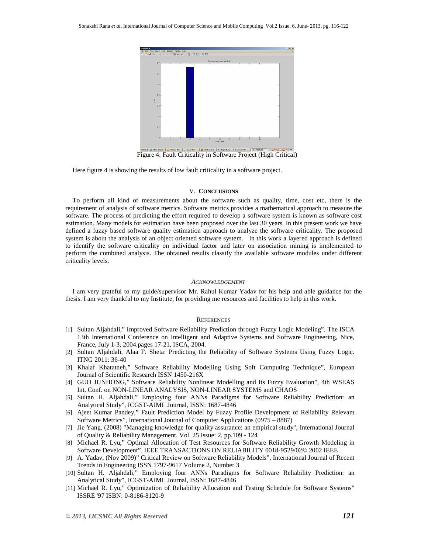

Figure 4: Fault Criticality in Software Project (High Critical)

Here figure 4 is showing the results of low fault criticality in a software project.

# V. **CONCLUSIONS**

To perform all kind of measurements about the software such as quality, time, cost etc, there is the requirement of analysis of software metrics. Software metrics provides a mathematical approach to measure the software. The process of predicting the effort required to develop a software system is known as software cost estimation. Many models for estimation have been proposed over the last 30 years. In this present work we have defined a fuzzy based software quality estimation approach to analyze the software criticality. The proposed system is about the analysis of an object oriented software system. In this work a layered approach is defined to identify the software criticality on individual factor and later on association mining is implemented to perform the combined analysis. The obtained results classify the available software modules under different criticality levels.

#### *ACKNOWLEDGEMENT*

I am very grateful to my guide/supervisor Mr. Rahul Kumar Yadav for his help and able guidance for the thesis. I am very thankful to my Institute, for providing me resources and facilities to help in this work.

#### **REFERENCES**

- [1] Sultan Aljahdali," Improved Software Reliability Prediction through Fuzzy Logic Modeling". The ISCA 13th International Conference on Intelligent and Adaptive Systems and Software Engineering, Nice, France, July 1-3, 2004.pages 17-21, ISCA, 2004.
- [2] Sultan Aljahdali, Alaa F. Sheta: Predicting the Reliability of Software Systems Using Fuzzy Logic. ITNG 2011: 36-40
- [3] Khalaf Khatatneh," Software Reliability Modelling Using Soft Computing Technique", European Journal of Scientific Research ISSN 1450-216X
- [4] GUO JUNHONG," Software Reliability Nonlinear Modelling and Its Fuzzy Evaluation", 4th WSEAS Int. Conf. on NON-LINEAR ANALYSIS, NON-LINEAR SYSTEMS and CHAOS
- [5] Sultan H. Aljahdali," Employing four ANNs Paradigms for Software Reliability Prediction: an Analytical Study", ICGST-AIML Journal, ISSN: 1687-4846
- [6] Ajeet Kumar Pandey," Fault Prediction Model by Fuzzy Profile Development of Reliability Relevant Software Metrics", International Journal of Computer Applications (0975 – 8887)
- [7] Jie Yang, (2008) "Managing knowledge for quality assurance: an empirical study", International Journal of Quality & Reliability Management, Vol. 25 Issue: 2, pp.109 - 124
- [8] Michael R. Lyu," Optimal Allocation of Test Resources for Software Reliability Growth Modeling in Software Development", IEEE TRANSACTIONS ON RELIABILITY 0018-9529/02© 2002 IEEE
- [9] A. Yadav, (Nov 2009)" Critical Review on Software Reliability Models", International Journal of Recent Trends in Engineering ISSN 1797-9617 Volume 2, Number 3
- [10] Sultan H. Aljahdali," Employing four ANNs Paradigms for Software Reliability Prediction: an Analytical Study", ICGST-AIML Journal, ISSN: 1687-4846
- [11] Michael R. Lyu," Optimization of Reliability Allocation and Testing Schedule for Software Systems" ISSRE '97 ISBN: 0-8186-8120-9